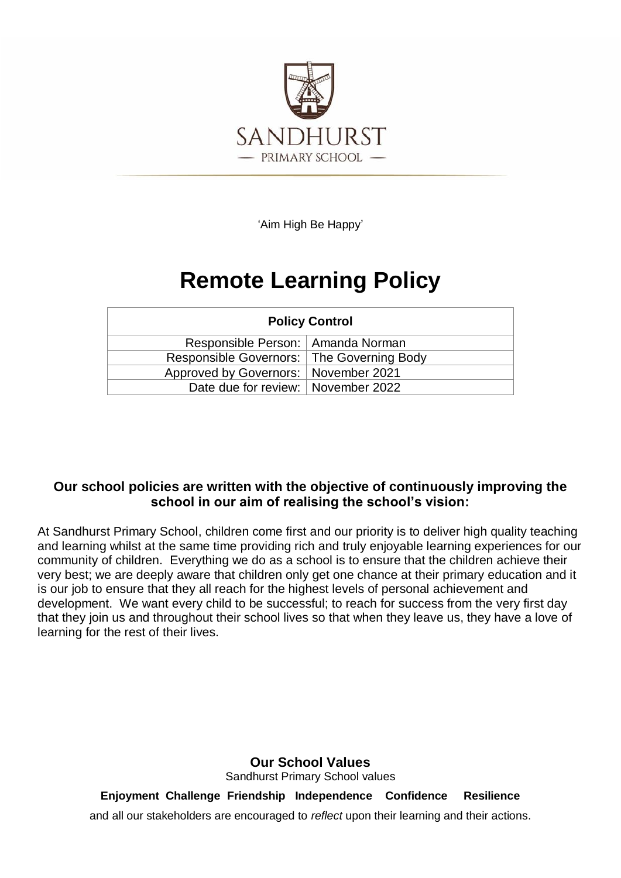

'Aim High Be Happy'

# **Remote Learning Policy**

| <b>Policy Control</b>                       |  |
|---------------------------------------------|--|
| Responsible Person:   Amanda Norman         |  |
| Responsible Governors:   The Governing Body |  |
| Approved by Governors:   November 2021      |  |
| Date due for review:   November 2022        |  |

### **Our school policies are written with the objective of continuously improving the school in our aim of realising the school's vision:**

At Sandhurst Primary School, children come first and our priority is to deliver high quality teaching and learning whilst at the same time providing rich and truly enjoyable learning experiences for our community of children. Everything we do as a school is to ensure that the children achieve their very best; we are deeply aware that children only get one chance at their primary education and it is our job to ensure that they all reach for the highest levels of personal achievement and development. We want every child to be successful; to reach for success from the very first day that they join us and throughout their school lives so that when they leave us, they have a love of learning for the rest of their lives.

> **Our School Values** Sandhurst Primary School values

**Enjoyment Challenge Friendship Independence Confidence Resilience** and all our stakeholders are encouraged to *reflect* upon their learning and their actions.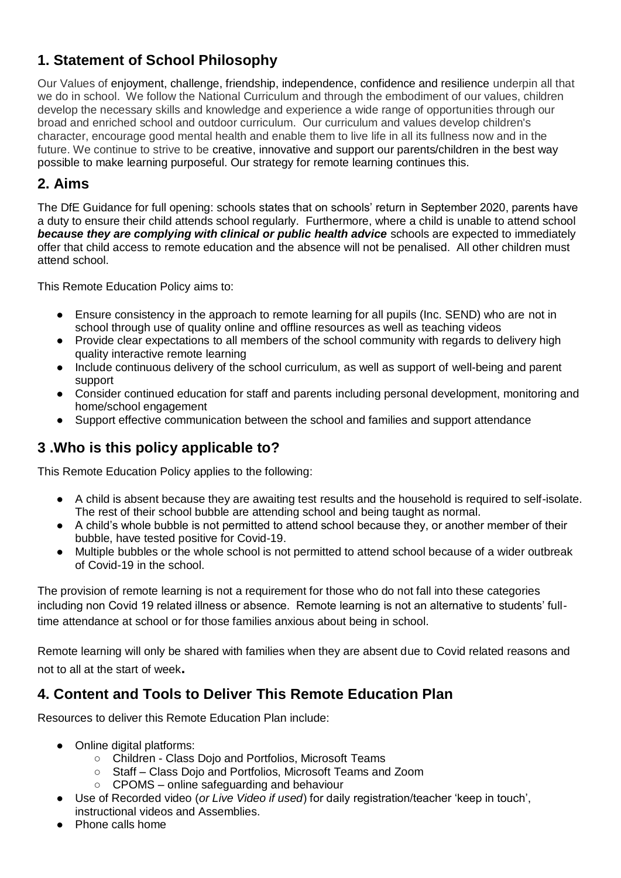# **1. Statement of School Philosophy**

Our Values of enjoyment, challenge, friendship, independence, confidence and resilience underpin all that we do in school. We follow the National Curriculum and through the embodiment of our values, children develop the necessary skills and knowledge and experience a wide range of opportunities through our broad and enriched school and outdoor curriculum. Our curriculum and values develop children's character, encourage good mental health and enable them to live life in all its fullness now and in the future. We continue to strive to be creative, innovative and support our parents/children in the best way possible to make learning purposeful. Our strategy for remote learning continues this.

# **2. Aims**

The DfE [Guidance for full opening: schools](https://www.gov.uk/government/publications/actions-for-schools-during-the-coronavirus-outbreak/guidance-for-full-opening-schools) states that on schools' return in September 2020, parents have a duty to ensure their child attends school regularly. Furthermore, where a child is unable to attend school **because they are complying with clinical or public health advice** schools are expected to immediately offer that child access to remote education and the absence will not be penalised. All other children must attend school.

This Remote Education Policy aims to:

- Ensure consistency in the approach to remote learning for all pupils (Inc. SEND) who are not in school through use of quality online and offline resources as well as teaching videos
- Provide clear expectations to all members of the school community with regards to delivery high quality interactive remote learning
- Include continuous delivery of the school curriculum, as well as support of well-being and parent support
- Consider continued education for staff and parents including personal development, monitoring and home/school engagement
- Support effective communication between the school and families and support attendance

### **3 .Who is this policy applicable to?**

This Remote Education Policy applies to the following:

- A child is absent because they are awaiting test results and the household is required to self-isolate. The rest of their school bubble are attending school and being taught as normal.
- A child's whole bubble is not permitted to attend school because they, or another member of their bubble, have tested positive for Covid-19.
- Multiple bubbles or the whole school is not permitted to attend school because of a wider outbreak of Covid-19 in the school.

The provision of remote learning is not a requirement for those who do not fall into these categories including non Covid 19 related illness or absence. Remote learning is not an alternative to students' fulltime attendance at school or for those families anxious about being in school.

Remote learning will only be shared with families when they are absent due to Covid related reasons and not to all at the start of week**.**

### **4. Content and Tools to Deliver This Remote Education Plan**

Resources to deliver this Remote Education Plan include:

- Online digital platforms:
	- Children Class Dojo and Portfolios, Microsoft Teams
	- Staff Class Dojo and Portfolios, Microsoft Teams and Zoom
		- CPOMS online safeguarding and behaviour
- Use of Recorded video (*or Live Video if used*) for daily registration/teacher 'keep in touch', instructional videos and Assemblies.
- **Phone calls home**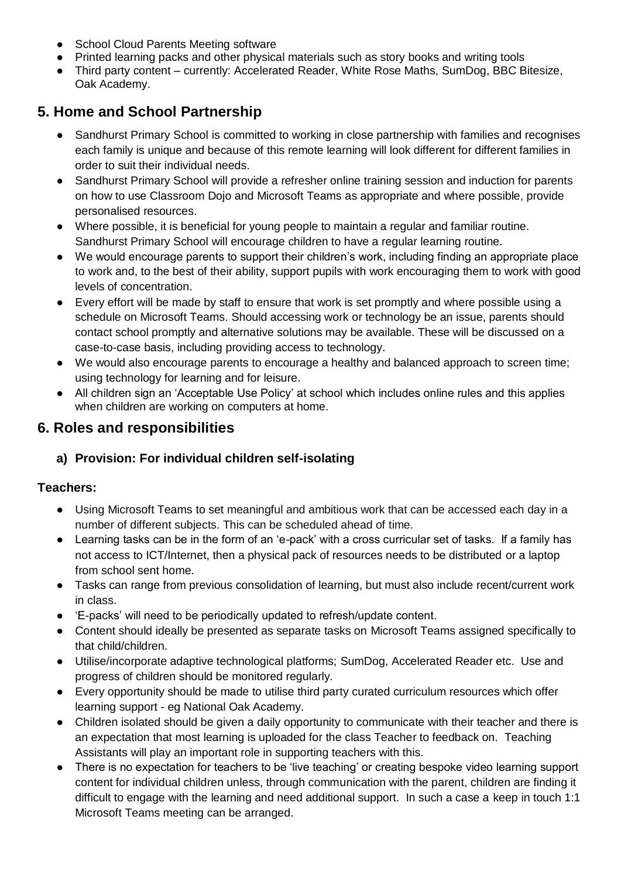- School Cloud Parents Meeting software
- Printed learning packs and other physical materials such as story books and writing tools
- Third party content currently: Accelerated Reader, White Rose Maths, SumDog, BBC Bitesize, Oak Academy.

# **5. Home and School Partnership**

- Sandhurst Primary School is committed to working in close partnership with families and recognises each family is unique and because of this remote learning will look different for different families in order to suit their individual needs.
- Sandhurst Primary School will provide a refresher online training session and induction for parents on how to use Classroom Dojo and Microsoft Teams as appropriate and where possible, provide personalised resources.
- Where possible, it is beneficial for young people to maintain a regular and familiar routine. Sandhurst Primary School will encourage children to have a regular learning routine.
- We would encourage parents to support their children's work, including finding an appropriate place to work and, to the best of their ability, support pupils with work encouraging them to work with good levels of concentration.
- Every effort will be made by staff to ensure that work is set promptly and where possible using a schedule on Microsoft Teams. Should accessing work or technology be an issue, parents should contact school promptly and alternative solutions may be available. These will be discussed on a case-to-case basis, including providing access to technology.
- We would also encourage parents to encourage a healthy and balanced approach to screen time; using technology for learning and for leisure.
- All children sign an 'Acceptable Use Policy' at school which includes online rules and this applies when children are working on computers at home.

### **6. Roles and responsibilities**

### **a) Provision: For individual children self-isolating**

### **Teachers:**

- Using Microsoft Teams to set meaningful and ambitious work that can be accessed each day in a number of different subjects. This can be scheduled ahead of time.
- Learning tasks can be in the form of an 'e-pack' with a cross curricular set of tasks. If a family has not access to ICT/Internet, then a physical pack of resources needs to be distributed or a laptop from school sent home.
- Tasks can range from previous consolidation of learning, but must also include recent/current work in class.
- 'E-packs' will need to be periodically updated to refresh/update content.
- Content should ideally be presented as separate tasks on Microsoft Teams assigned specifically to that child/children.
- Utilise/incorporate adaptive technological platforms; SumDog, Accelerated Reader etc. Use and progress of children should be monitored regularly.
- Every opportunity should be made to utilise third party curated curriculum resources which offer learning support - eg National Oak Academy.
- Children isolated should be given a daily opportunity to communicate with their teacher and there is an expectation that most learning is uploaded for the class Teacher to feedback on. Teaching Assistants will play an important role in supporting teachers with this.
- There is no expectation for teachers to be 'live teaching' or creating bespoke video learning support content for individual children unless, through communication with the parent, children are finding it difficult to engage with the learning and need additional support. In such a case a keep in touch 1:1 Microsoft Teams meeting can be arranged.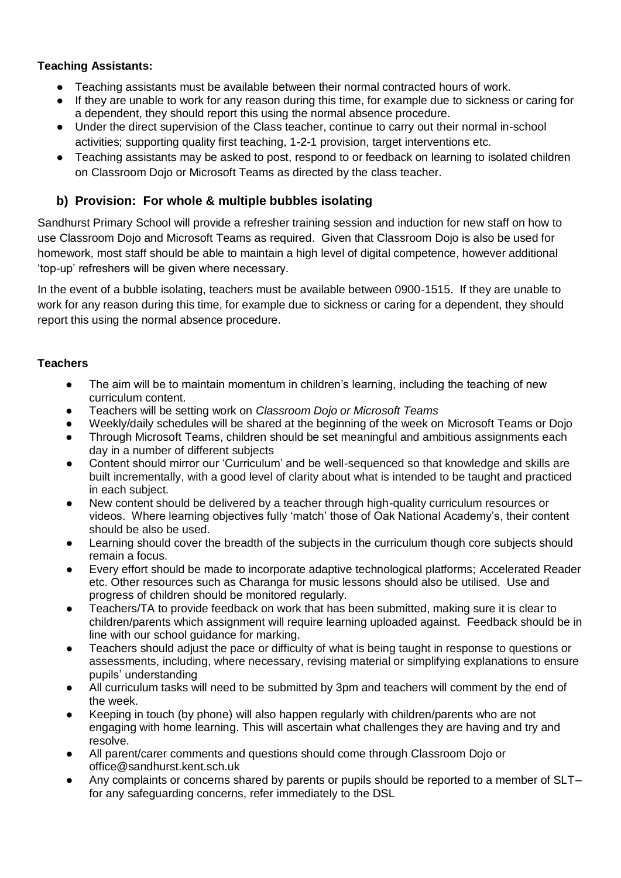#### **Teaching Assistants:**

- Teaching assistants must be available between their normal contracted hours of work.
- If they are unable to work for any reason during this time, for example due to sickness or caring for a dependent, they should report this using the normal absence procedure.
- Under the direct supervision of the Class teacher, continue to carry out their normal in-school activities; supporting quality first teaching, 1-2-1 provision, target interventions etc.
- Teaching assistants may be asked to post, respond to or feedback on learning to isolated children on Classroom Dojo or Microsoft Teams as directed by the class teacher.

#### **b) Provision: For whole & multiple bubbles isolating**

Sandhurst Primary School will provide a refresher training session and induction for new staff on how to use Classroom Dojo and Microsoft Teams as required. Given that Classroom Dojo is also be used for homework, most staff should be able to maintain a high level of digital competence, however additional 'top-up' refreshers will be given where necessary.

In the event of a bubble isolating, teachers must be available between 0900-1515. If they are unable to work for any reason during this time, for example due to sickness or caring for a dependent, they should report this using the normal absence procedure.

#### **Teachers**

- The aim will be to maintain momentum in children's learning, including the teaching of new curriculum content.
- Teachers will be setting work on *Classroom Dojo or Microsoft Teams*
- Weekly/daily schedules will be shared at the beginning of the week on Microsoft Teams or Dojo
- Through Microsoft Teams, children should be set meaningful and ambitious assignments each day in a number of different subjects
- Content should mirror our 'Curriculum' and be well-sequenced so that knowledge and skills are built incrementally, with a good level of clarity about what is intended to be taught and practiced in each subject.
- New content should be delivered by a teacher through high-quality curriculum resources or videos. Where learning objectives fully 'match' those of Oak National Academy's, their content should be also be used.
- Learning should cover the breadth of the subjects in the curriculum though core subjects should remain a focus.
- Every effort should be made to incorporate adaptive technological platforms; Accelerated Reader etc. Other resources such as Charanga for music lessons should also be utilised. Use and progress of children should be monitored regularly.
- Teachers/TA to provide feedback on work that has been submitted, making sure it is clear to children/parents which assignment will require learning uploaded against. Feedback should be in line with our school guidance for marking.
- Teachers should adjust the pace or difficulty of what is being taught in response to questions or assessments, including, where necessary, revising material or simplifying explanations to ensure pupils' understanding
- All curriculum tasks will need to be submitted by 3pm and teachers will comment by the end of the week.
- Keeping in touch (by phone) will also happen regularly with children/parents who are not engaging with home learning. This will ascertain what challenges they are having and try and resolve.
- All parent/carer comments and questions should come through Classroom Dojo or office@sandhurst.kent.sch.uk
- Any complaints or concerns shared by parents or pupils should be reported to a member of SLTfor any safeguarding concerns, refer immediately to the DSL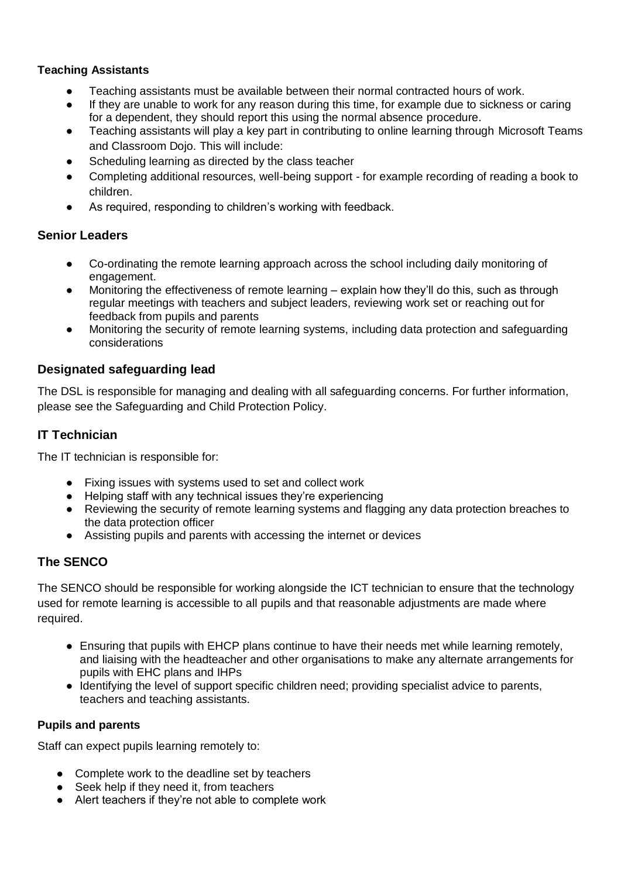#### **Teaching Assistants**

- Teaching assistants must be available between their normal contracted hours of work.
- If they are unable to work for any reason during this time, for example due to sickness or caring for a dependent, they should report this using the normal absence procedure.
- Teaching assistants will play a key part in contributing to online learning through Microsoft Teams and Classroom Dojo. This will include:
- Scheduling learning as directed by the class teacher
- Completing additional resources, well-being support for example recording of reading a book to children.
- As required, responding to children's working with feedback.

#### **Senior Leaders**

- Co-ordinating the remote learning approach across the school including daily monitoring of engagement.
- Monitoring the effectiveness of remote learning explain how they'll do this, such as through regular meetings with teachers and subject leaders, reviewing work set or reaching out for feedback from pupils and parents
- Monitoring the security of remote learning systems, including data protection and safeguarding considerations

#### **Designated safeguarding lead**

The DSL is responsible for managing and dealing with all safeguarding concerns. For further information, please see the Safeguarding and Child Protection Policy.

#### **IT Technician**

The IT technician is responsible for:

- Fixing issues with systems used to set and collect work
- Helping staff with any technical issues they're experiencing
- Reviewing the security of remote learning systems and flagging any data protection breaches to the data protection officer
- Assisting pupils and parents with accessing the internet or devices

#### **The SENCO**

The SENCO should be responsible for working alongside the ICT technician to ensure that the technology used for remote learning is accessible to all pupils and that reasonable adjustments are made where required.

- Ensuring that pupils with EHCP plans continue to have their needs met while learning remotely, and liaising with the headteacher and other organisations to make any alternate arrangements for pupils with EHC plans and IHPs
- Identifying the level of support specific children need; providing specialist advice to parents, teachers and teaching assistants.

#### **Pupils and parents**

Staff can expect pupils learning remotely to:

- Complete work to the deadline set by teachers
- Seek help if they need it, from teachers
- Alert teachers if they're not able to complete work